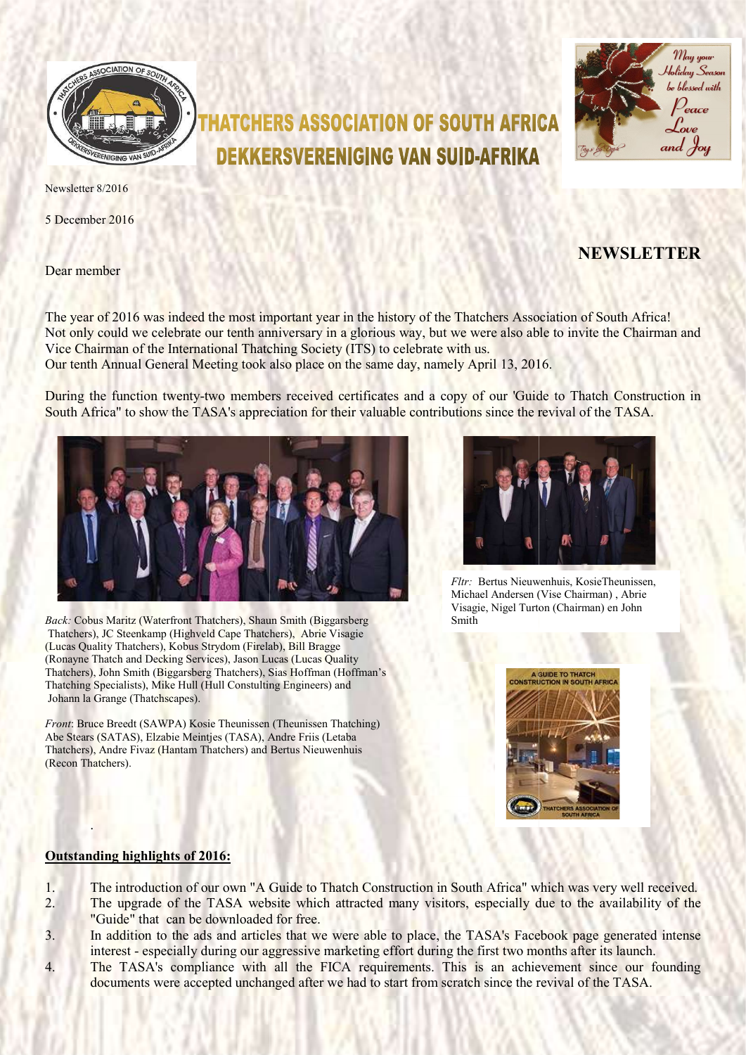

# HATCHERS ASSOCIATION OF SOUTH AFRICA **DEKKERSVERENIGING VAN SUID-AFRIKA**



Newsletter 8/2016

5 December 2016

Dear member

# NEWSLETTER

The year of 2016 was indeed the most important year in the history of the Thatchers Association of South Africa! Not only could we celebrate our tenth anniversary in a glorious way, but we were also able to invite the Chairman and Vice Chairman of the International Thatching Society (ITS) to celebrate with us. Our tenth Annual General Meeting took also place on the same day, namely April 13, 2016.

During the function twenty-two members received certificates and a copy of our 'Guide to Thatch Construction in During the function twenty-two members received certificates and a copy of our 'Guide to Thatch Constru<br>South Africa" to show the TASA's appreciation for their valuable contributions since the revival of the TASA.



Back: Cobus Maritz (Waterfront Thatchers), Shaun Smith (Biggarsberg Back: Cobus Maritz (Waterfront Thatchers), Shaun Smith (Biggarsberg<br>Thatchers), JC Steenkamp (Highveld Cape Thatchers), Abrie Visagie (Lucas Quality Thatchers), Kobus Strydom (Firelab), Bill Bragge (Ronayne Thatch and Decking Services), Jason Lucas (Lucas Quality Thatchers), John Smith (Biggarsberg Thatchers), Sias Hoffman (Hoffman's Thatching Specialists), Mike Hull (Hull Constulting Engineers) and Johann la Grange (Thatchscapes). Fire Bernarian (Waterfoot Thatchers), Shaun Smith (Biggarsberg<br>
Visagie, Nigel Turton (Charles), Consulting Chiracters), About Visagie<br>
Thatch and Decking Services), Jason Lucas (Lucas Quality<br>
Thatch and Decking Services)

Front: Bruce Breedt (SAWPA) Kosie Theunissen (Theunissen Thatching) Abe Stears (SATAS), Elzabie Meintjes (TASA), Andre Friis (Letaba Thatchers), Andre Fivaz (Hantam Thatchers) and Bertus Nieuwenhuis (Recon Thatchers).



Michael Andersen (Vise Chairman), Abrie Visagie, Nigel Turton (Chairman (Chairman) en John Smith



#### Outstanding highlights of 2016:

.

- 1. The introduction of our own "A Guide to Thatch Construction in South Africa" which was very well received. 2. The upgrade of the TASA website which attracted many visitors, especially due to the availability of the "Guide" that can be downloaded for free.
- 3. In addition to the ads and articles that we were able to place, the TASA's Facebook page generated intense interest - especially during our aggressive marketing effort during the first two months after its launch.
- interest especially during our aggressive marketing effort during the first two months after its launch.<br>4. The TASA's compliance with all the FICA requirements. This is an achievement since our founding documents were accepted unchanged after we had to start from scratch since the revival of the TASA.